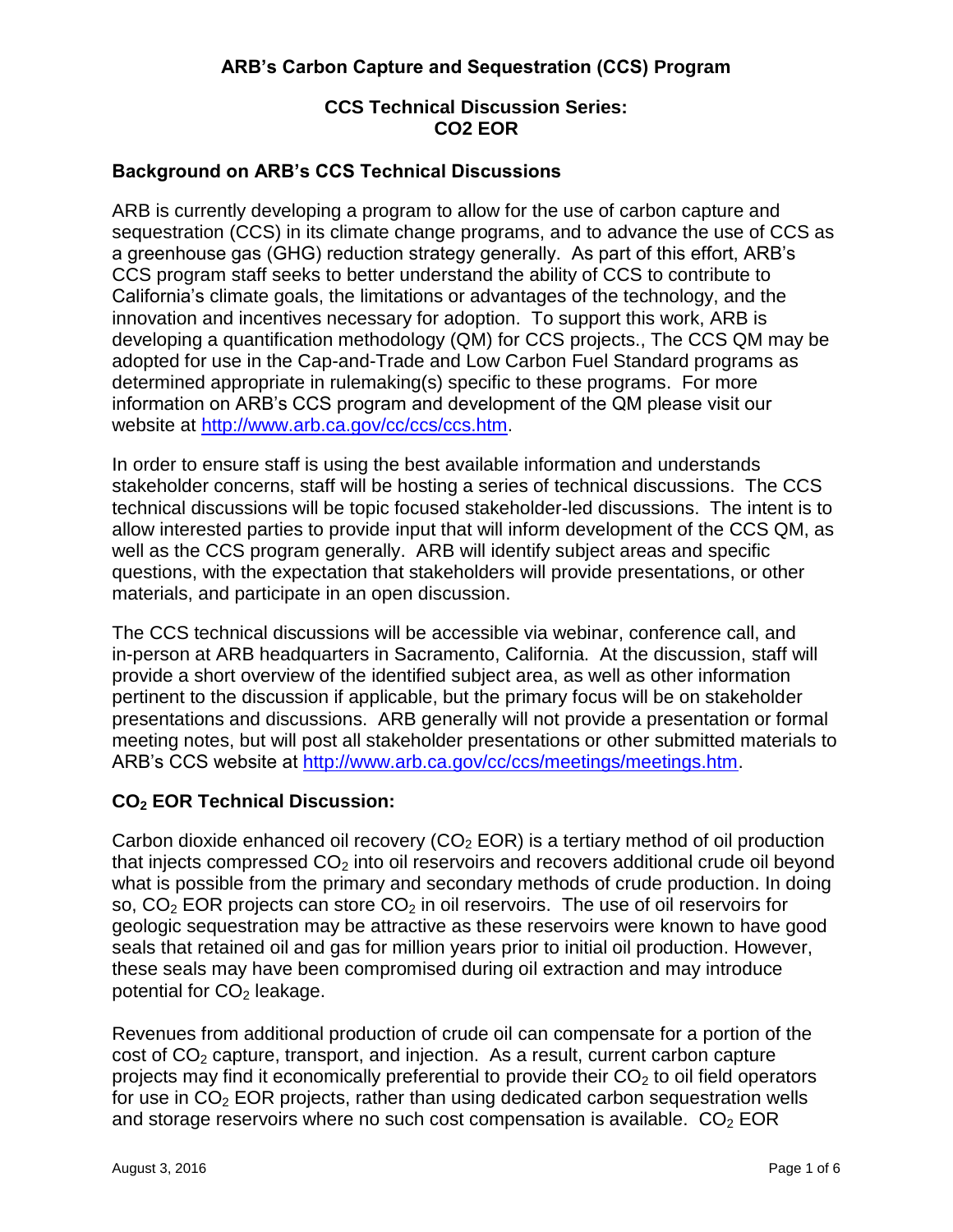# **CCS Technical Discussion Series: CO2 EOR**

### **Background on ARB's CCS Technical Discussions**

ARB is currently developing a program to allow for the use of carbon capture and sequestration (CCS) in its climate change programs, and to advance the use of CCS as a greenhouse gas (GHG) reduction strategy generally. As part of this effort, ARB's CCS program staff seeks to better understand the ability of CCS to contribute to California's climate goals, the limitations or advantages of the technology, and the innovation and incentives necessary for adoption. To support this work, ARB is developing a quantification methodology (QM) for CCS projects., The CCS QM may be adopted for use in the Cap-and-Trade and Low Carbon Fuel Standard programs as determined appropriate in rulemaking(s) specific to these programs. For more information on ARB's CCS program and development of the QM please visit our website at [http://www.arb.ca.gov/cc/ccs/ccs.htm.](http://www.arb.ca.gov/cc/ccs/ccs.htm)

In order to ensure staff is using the best available information and understands stakeholder concerns, staff will be hosting a series of technical discussions. The CCS technical discussions will be topic focused stakeholder-led discussions. The intent is to allow interested parties to provide input that will inform development of the CCS QM, as well as the CCS program generally. ARB will identify subject areas and specific questions, with the expectation that stakeholders will provide presentations, or other materials, and participate in an open discussion.

The CCS technical discussions will be accessible via webinar, conference call, and in-person at ARB headquarters in Sacramento, California. At the discussion, staff will provide a short overview of the identified subject area, as well as other information pertinent to the discussion if applicable, but the primary focus will be on stakeholder presentations and discussions. ARB generally will not provide a presentation or formal meeting notes, but will post all stakeholder presentations or other submitted materials to ARB's CCS website at [http://www.arb.ca.gov/cc/ccs/meetings/meetings.htm.](http://www.arb.ca.gov/cc/ccs/meetings/meetings.htm)

### **CO<sup>2</sup> EOR Technical Discussion:**

Carbon dioxide enhanced oil recovery (CO<sub>2</sub> EOR) is a tertiary method of oil production that injects compressed  $CO<sub>2</sub>$  into oil reservoirs and recovers additional crude oil beyond what is possible from the primary and secondary methods of crude production. In doing so,  $CO<sub>2</sub>$  EOR projects can store  $CO<sub>2</sub>$  in oil reservoirs. The use of oil reservoirs for geologic sequestration may be attractive as these reservoirs were known to have good seals that retained oil and gas for million years prior to initial oil production. However, these seals may have been compromised during oil extraction and may introduce potential for  $CO<sub>2</sub>$  leakage.

Revenues from additional production of crude oil can compensate for a portion of the cost of  $CO<sub>2</sub>$  capture, transport, and injection. As a result, current carbon capture projects may find it economically preferential to provide their  $CO<sub>2</sub>$  to oil field operators for use in  $CO<sub>2</sub> EOR$  projects, rather than using dedicated carbon sequestration wells and storage reservoirs where no such cost compensation is available.  $CO<sub>2</sub> EOR$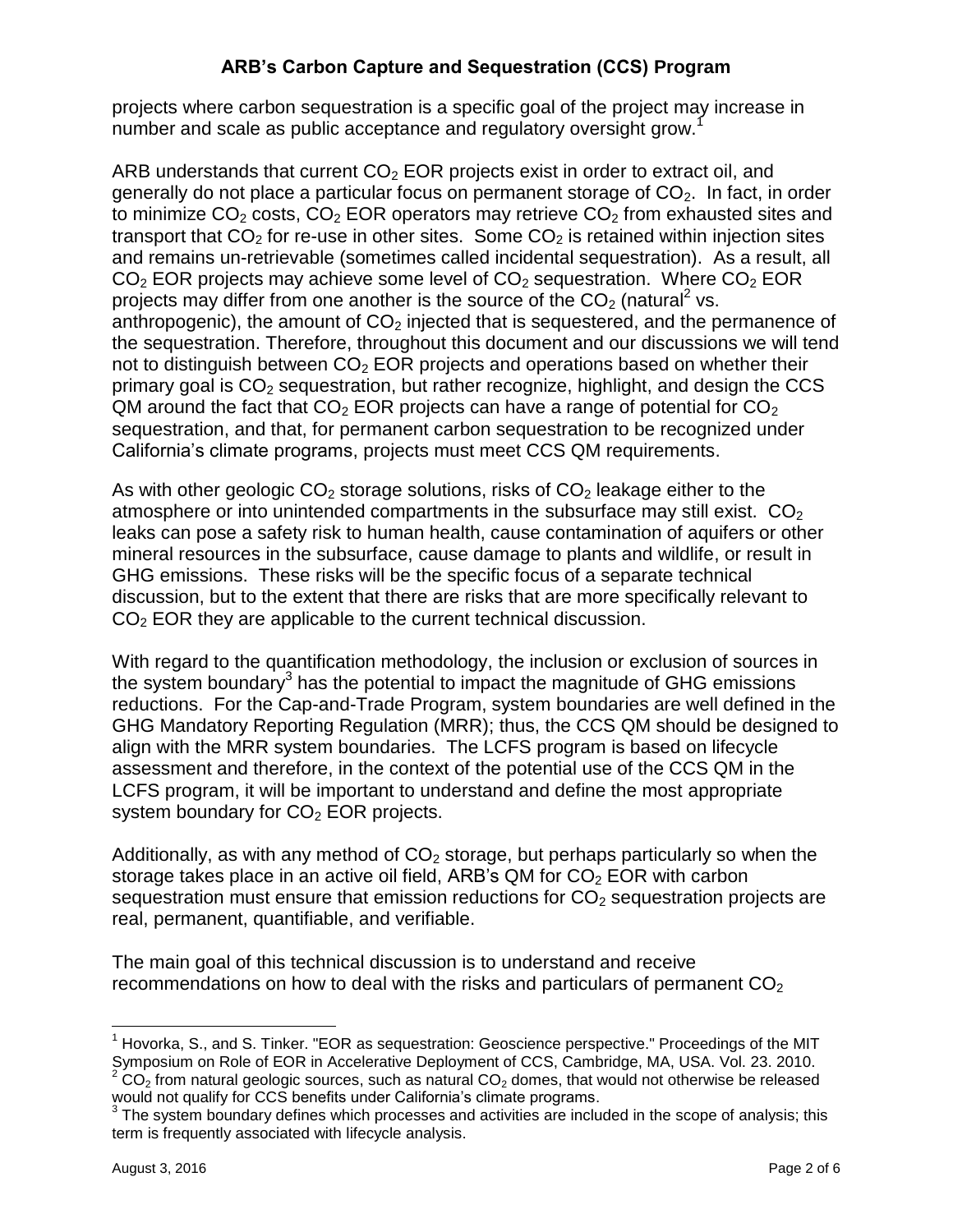projects where carbon sequestration is a specific goal of the project may increase in number and scale as public acceptance and regulatory oversight grow.<sup>1</sup>

ARB understands that current  $CO<sub>2</sub>$  EOR projects exist in order to extract oil, and generally do not place a particular focus on permanent storage of  $CO<sub>2</sub>$ . In fact, in order to minimize  $CO<sub>2</sub>$  costs,  $CO<sub>2</sub>$  EOR operators may retrieve  $CO<sub>2</sub>$  from exhausted sites and transport that  $CO<sub>2</sub>$  for re-use in other sites. Some  $CO<sub>2</sub>$  is retained within injection sites and remains un-retrievable (sometimes called incidental sequestration). As a result, all  $CO<sub>2</sub> EOR$  projects may achieve some level of  $CO<sub>2</sub>$  sequestration. Where  $CO<sub>2</sub> EOR$ projects may differ from one another is the source of the  $CO<sub>2</sub>$  (natural<sup>2</sup> vs. anthropogenic), the amount of  $CO<sub>2</sub>$  injected that is sequestered, and the permanence of the sequestration. Therefore, throughout this document and our discussions we will tend not to distinguish between  $CO<sub>2</sub>$  EOR projects and operations based on whether their primary goal is  $CO<sub>2</sub>$  sequestration, but rather recognize, highlight, and design the CCS QM around the fact that  $CO<sub>2</sub>$  EOR projects can have a range of potential for  $CO<sub>2</sub>$ sequestration, and that, for permanent carbon sequestration to be recognized under California's climate programs, projects must meet CCS QM requirements.

As with other geologic  $CO<sub>2</sub>$  storage solutions, risks of  $CO<sub>2</sub>$  leakage either to the atmosphere or into unintended compartments in the subsurface may still exist.  $CO<sub>2</sub>$ leaks can pose a safety risk to human health, cause contamination of aquifers or other mineral resources in the subsurface, cause damage to plants and wildlife, or result in GHG emissions. These risks will be the specific focus of a separate technical discussion, but to the extent that there are risks that are more specifically relevant to CO<sub>2</sub> EOR they are applicable to the current technical discussion.

With regard to the quantification methodology, the inclusion or exclusion of sources in the system boundary $3$  has the potential to impact the magnitude of GHG emissions reductions. For the Cap-and-Trade Program, system boundaries are well defined in the GHG Mandatory Reporting Regulation (MRR); thus, the CCS QM should be designed to align with the MRR system boundaries. The LCFS program is based on lifecycle assessment and therefore, in the context of the potential use of the CCS QM in the LCFS program, it will be important to understand and define the most appropriate system boundary for  $CO<sub>2</sub>$  EOR projects.

Additionally, as with any method of  $CO<sub>2</sub>$  storage, but perhaps particularly so when the storage takes place in an active oil field, ARB's QM for  $CO<sub>2</sub> EOR$  with carbon sequestration must ensure that emission reductions for  $CO<sub>2</sub>$  sequestration projects are real, permanent, quantifiable, and verifiable.

The main goal of this technical discussion is to understand and receive recommendations on how to deal with the risks and particulars of permanent  $CO<sub>2</sub>$ 

 $\overline{a}$ 

 $1$  Hovorka, S., and S. Tinker. "EOR as sequestration: Geoscience perspective." Proceedings of the MIT Symposium on Role of EOR in Accelerative Deployment of CCS, Cambridge, MA, USA. Vol. 23. 2010.  $CO<sub>2</sub>$  from natural geologic sources, such as natural  $CO<sub>2</sub>$  domes, that would not otherwise be released would not qualify for CCS benefits under California's climate programs.

 $3$  The system boundary defines which processes and activities are included in the scope of analysis; this term is frequently associated with lifecycle analysis.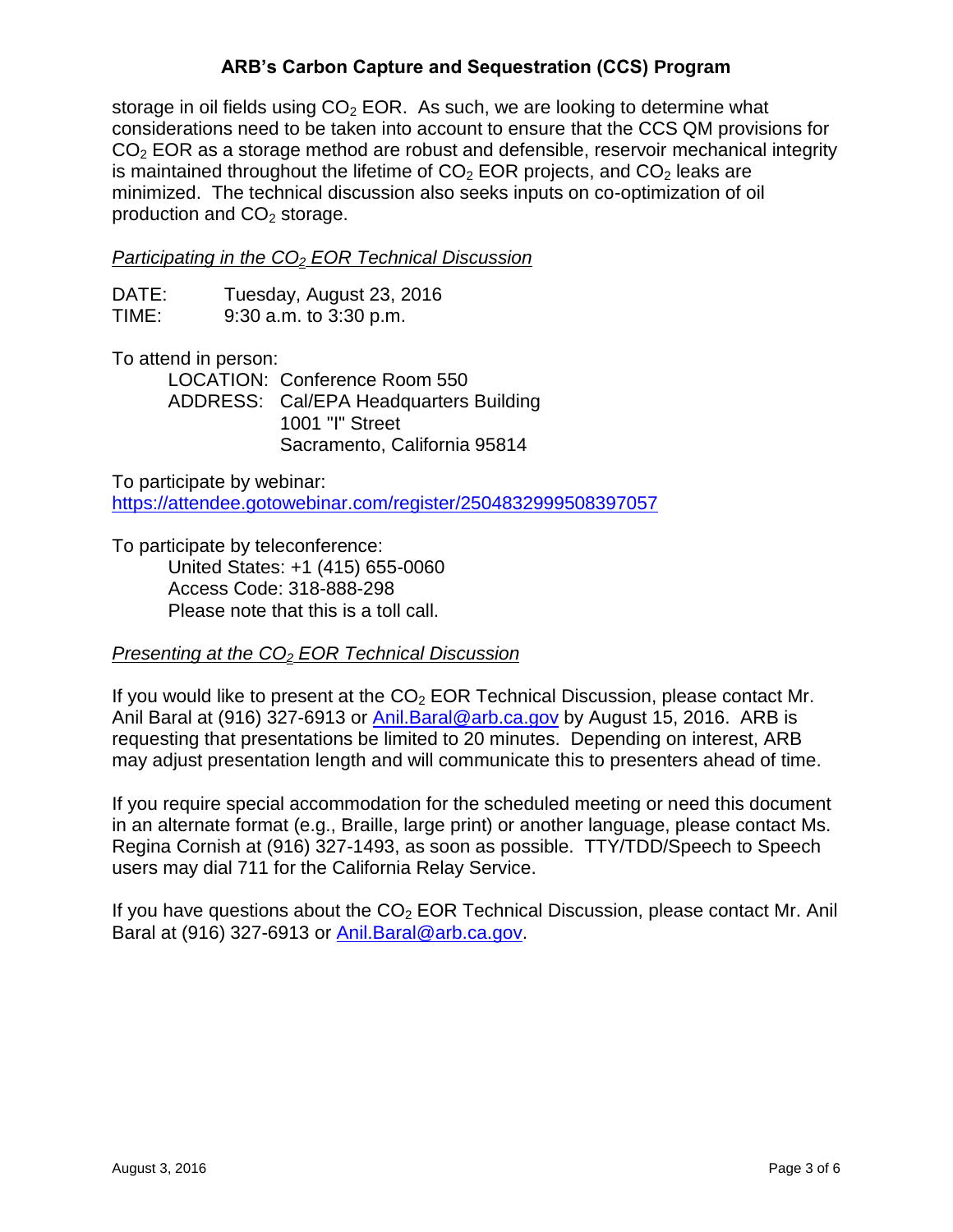storage in oil fields using  $CO<sub>2</sub> EOR$ . As such, we are looking to determine what considerations need to be taken into account to ensure that the CCS QM provisions for  $CO<sub>2</sub> EOR$  as a storage method are robust and defensible, reservoir mechanical integrity is maintained throughout the lifetime of  $CO<sub>2</sub>$  EOR projects, and  $CO<sub>2</sub>$  leaks are minimized. The technical discussion also seeks inputs on co-optimization of oil production and  $CO<sub>2</sub>$  storage.

#### *Participating in the CO<sup>2</sup> EOR Technical Discussion*

| DATE: | Tuesday, August 23, 2016   |
|-------|----------------------------|
| TIME: | $9:30$ a.m. to $3:30$ p.m. |

To attend in person:

LOCATION: Conference Room 550 ADDRESS: Cal/EPA Headquarters Building 1001 "I" Street Sacramento, California 95814

To participate by webinar:

<https://attendee.gotowebinar.com/register/2504832999508397057>

To participate by teleconference: United States: +1 (415) 655-0060 Access Code: 318-888-298 Please note that this is a toll call.

### *Presenting at the CO<sup>2</sup> EOR Technical Discussion*

If you would like to present at the  $CO<sub>2</sub>$  EOR Technical Discussion, please contact Mr. Anil Baral at (916) 327-6913 or [Anil.Baral@arb.ca.gov](mailto:Anil.Baral@arb.ca.gov) by August 15, 2016. ARB is requesting that presentations be limited to 20 minutes. Depending on interest, ARB may adjust presentation length and will communicate this to presenters ahead of time.

If you require special accommodation for the scheduled meeting or need this document in an alternate format (e.g., Braille, large print) or another language, please contact Ms. Regina Cornish at (916) 327-1493, as soon as possible. TTY/TDD/Speech to Speech users may dial 711 for the California Relay Service.

If you have questions about the  $CO<sub>2</sub>$  EOR Technical Discussion, please contact Mr. Anil Baral at (916) 327-6913 or [Anil.Baral@arb.ca.gov.](mailto:Anil.Baral@arb.ca.gov)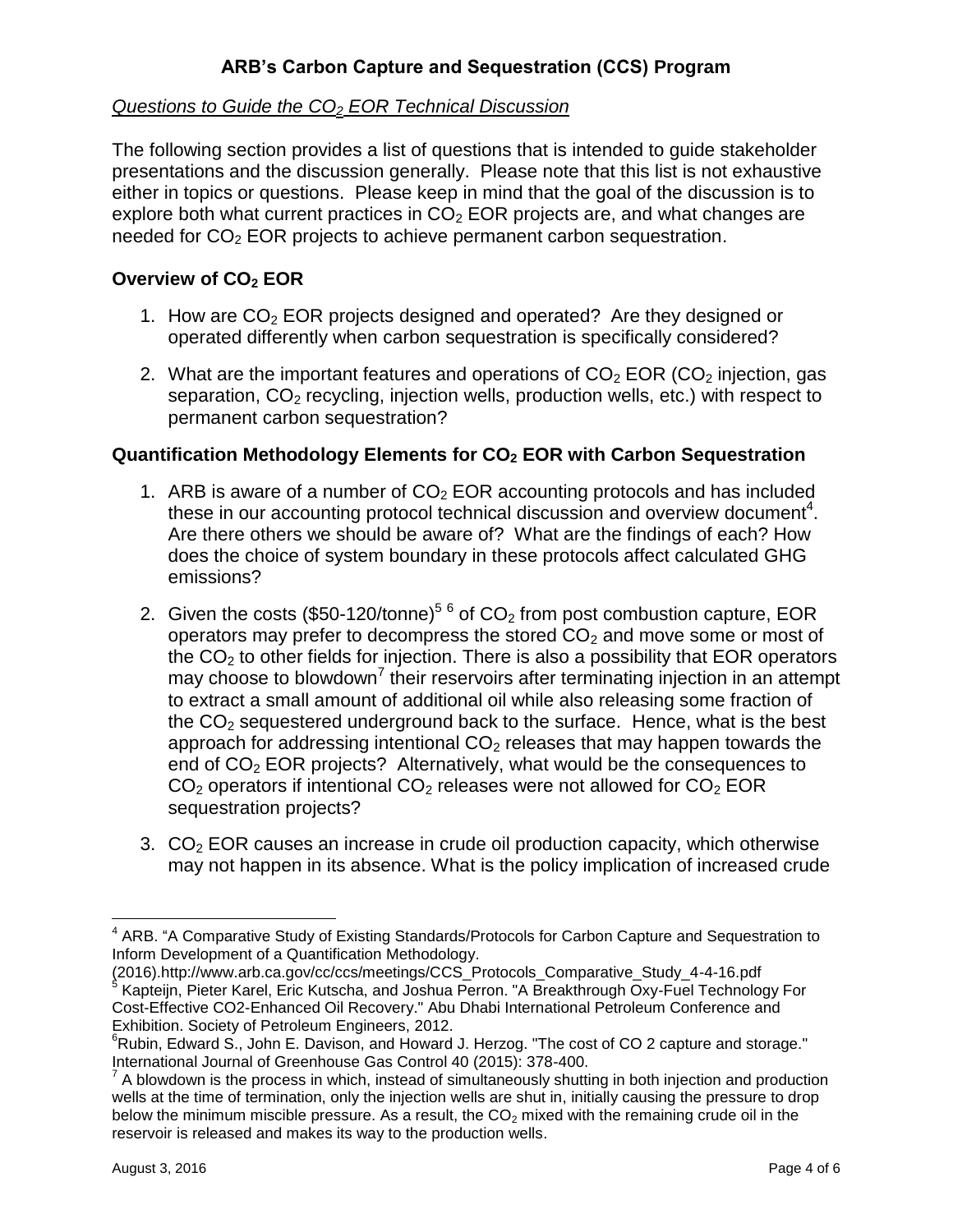### *Questions to Guide the CO<sup>2</sup> EOR Technical Discussion*

The following section provides a list of questions that is intended to guide stakeholder presentations and the discussion generally. Please note that this list is not exhaustive either in topics or questions. Please keep in mind that the goal of the discussion is to explore both what current practices in  $CO<sub>2</sub>$  EOR projects are, and what changes are needed for  $CO<sub>2</sub>$  EOR projects to achieve permanent carbon sequestration.

## **Overview of CO<sup>2</sup> EOR**

- 1. How are  $CO<sub>2</sub>$  EOR projects designed and operated? Are they designed or operated differently when carbon sequestration is specifically considered?
- 2. What are the important features and operations of  $CO<sub>2</sub>$  EOR (CO<sub>2</sub> injection, gas separation,  $CO<sub>2</sub>$  recycling, injection wells, production wells, etc.) with respect to permanent carbon sequestration?

### **Quantification Methodology Elements for CO<sup>2</sup> EOR with Carbon Sequestration**

- 1. ARB is aware of a number of  $CO<sub>2</sub> EOR$  accounting protocols and has included these in our accounting protocol technical discussion and overview document<sup>4</sup>. Are there others we should be aware of? What are the findings of each? How does the choice of system boundary in these protocols affect calculated GHG emissions?
- 2. Given the costs (\$50-120/tonne)<sup>5 6</sup> of  $CO<sub>2</sub>$  from post combustion capture, EOR operators may prefer to decompress the stored  $CO<sub>2</sub>$  and move some or most of the  $CO<sub>2</sub>$  to other fields for injection. There is also a possibility that EOR operators may choose to blowdown<sup>7</sup> their reservoirs after terminating injection in an attempt to extract a small amount of additional oil while also releasing some fraction of the  $CO<sub>2</sub>$  sequestered underground back to the surface. Hence, what is the best approach for addressing intentional  $CO<sub>2</sub>$  releases that may happen towards the end of  $CO<sub>2</sub> EOR projects?$  Alternatively, what would be the consequences to  $CO<sub>2</sub>$  operators if intentional  $CO<sub>2</sub>$  releases were not allowed for  $CO<sub>2</sub>$  EOR sequestration projects?
- 3.  $CO<sub>2</sub>$  EOR causes an increase in crude oil production capacity, which otherwise may not happen in its absence. What is the policy implication of increased crude

 $\overline{\phantom{a}}$ <sup>4</sup> ARB. "A Comparative Study of Existing Standards/Protocols for Carbon Capture and Sequestration to Inform Development of a Quantification Methodology.

<sup>(2016).</sup>http://www.arb.ca.gov/cc/ccs/meetings/CCS\_Protocols\_Comparative\_Study\_4-4-16.pdf<br><sup>5</sup> Kapteijn, Pieter Karel, Eric Kutscha, and Joshua Perron. "A Breakthrough Oxy-Fuel Technology For Cost-Effective CO2-Enhanced Oil Recovery." Abu Dhabi International Petroleum Conference and Exhibition. Society of Petroleum Engineers, 2012.

 $6Rubin$ , Edward S., John E. Davison, and Howard J. Herzog. "The cost of CO 2 capture and storage." International Journal of Greenhouse Gas Control 40 (2015): 378-400.

 $7$  A blowdown is the process in which, instead of simultaneously shutting in both injection and production wells at the time of termination, only the injection wells are shut in, initially causing the pressure to drop below the minimum miscible pressure. As a result, the  $CO<sub>2</sub>$  mixed with the remaining crude oil in the reservoir is released and makes its way to the production wells.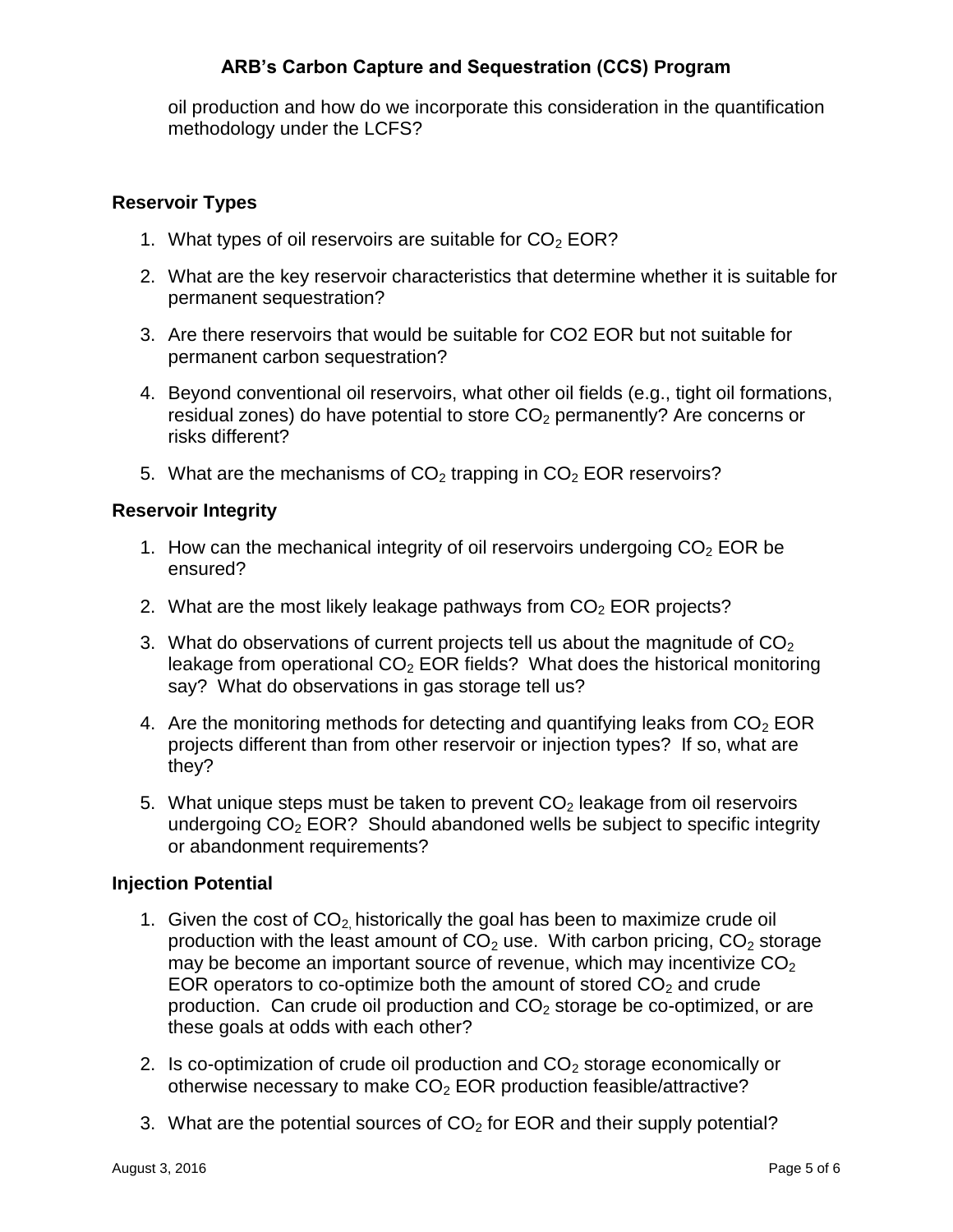oil production and how do we incorporate this consideration in the quantification methodology under the LCFS?

### **Reservoir Types**

- 1. What types of oil reservoirs are suitable for  $CO<sub>2</sub> EOR?$
- 2. What are the key reservoir characteristics that determine whether it is suitable for permanent sequestration?
- 3. Are there reservoirs that would be suitable for CO2 EOR but not suitable for permanent carbon sequestration?
- 4. Beyond conventional oil reservoirs, what other oil fields (e.g., tight oil formations, residual zones) do have potential to store  $CO<sub>2</sub>$  permanently? Are concerns or risks different?
- 5. What are the mechanisms of  $CO<sub>2</sub>$  trapping in  $CO<sub>2</sub>$  EOR reservoirs?

### **Reservoir Integrity**

- 1. How can the mechanical integrity of oil reservoirs undergoing  $CO<sub>2</sub> EOR$  be ensured?
- 2. What are the most likely leakage pathways from  $CO<sub>2</sub>$  EOR projects?
- 3. What do observations of current projects tell us about the magnitude of  $CO<sub>2</sub>$ leakage from operational  $CO<sub>2</sub>$  EOR fields? What does the historical monitoring say? What do observations in gas storage tell us?
- 4. Are the monitoring methods for detecting and quantifying leaks from  $CO<sub>2</sub> EOR$ projects different than from other reservoir or injection types? If so, what are they?
- 5. What unique steps must be taken to prevent  $CO<sub>2</sub>$  leakage from oil reservoirs undergoing  $CO<sub>2</sub> EOR?$  Should abandoned wells be subject to specific integrity or abandonment requirements?

### **Injection Potential**

- 1. Given the cost of  $CO<sub>2</sub>$  historically the goal has been to maximize crude oil production with the least amount of  $CO<sub>2</sub>$  use. With carbon pricing,  $CO<sub>2</sub>$  storage may be become an important source of revenue, which may incentivize  $CO<sub>2</sub>$ EOR operators to co-optimize both the amount of stored  $CO<sub>2</sub>$  and crude production. Can crude oil production and  $CO<sub>2</sub>$  storage be co-optimized, or are these goals at odds with each other?
- 2. Is co-optimization of crude oil production and  $CO<sub>2</sub>$  storage economically or otherwise necessary to make  $CO<sub>2</sub>$  EOR production feasible/attractive?
- 3. What are the potential sources of  $CO<sub>2</sub>$  for EOR and their supply potential?